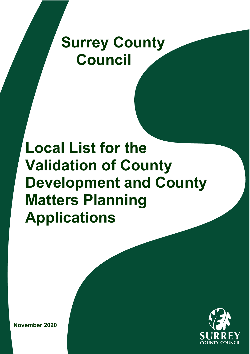# **Surrey County Council**

# **Local List for the Validation of County Development and County Matters Planning Applications**



**November 2020**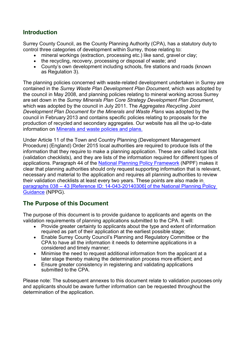# **Introduction**

Surrey County Council, as the County Planning Authority (CPA), has a statutory duty to control three categories of development within Surrey, those relating to:

- mineral workings (extraction, processing etc.) like sand, gravel or clay;
- the recycling, recovery, processing or disposal of waste; and
- County's own development including schools, fire stations and roads (known as Regulation 3).

The planning policies concerned with waste-related development undertaken in Surrey are contained in the *Surrey Waste Plan Development Plan Document*, which was adopted by the council in May 2008, and planning policies relating to mineral working across Surrey are set down in the *Surrey Minerals Plan Core Strategy Development Plan Document*, which was adopted by the council in July 2011. The *Aggregates Recycling Joint Development Plan Document for the Minerals and Waste Plans* was adopted by the council in February 2013 and contains specific policies relating to proposals for the production of recycled and secondary aggregates. Our website has all the up-to-date information on [Minerals and waste policies and plans.](https://www.surreycc.gov.uk/land-planning-and-development/minerals-and-waste)

Under Article 11 of the Town and Country Planning (Development Management Procedure) (England) Order 2015 local authorities are required to produce lists of the information that they require to make a planning application. These are called local lists (validation checklists), and they are lists of the information required for different types of applications. Paragraph 44 of the [National Planning Policy Framework](https://www.gov.uk/government/publications/national-planning-policy-framework--2) (NPPF) makes it clear that planning authorities should only request supporting information that is relevant, necessary and material to the application and requires all planning authorities to review their validation checklists at least every two years. These points are also made i[n](https://www.gov.uk/guidance/making-an-application#Local-information-requirements) paragraphs 038 – 43 [\[Reference ID: 14-043-20140306\]](https://www.gov.uk/guidance/making-an-application#Local-information-requirements) of the National Planning Policy [Guidance](https://www.gov.uk/guidance/making-an-application#Local-information-requirements) (NPPG).

# **The Purpose of this Document**

The purpose of this document is to provide guidance to applicants and agents on the validation requirements of planning applications submitted to the CPA. It will:

- Provide greater certainty to applicants about the type and extent of information required as part of their application at the earliest possible stage;
- Enable Surrey County Council's Planning and Regulatory Committee or the CPA to have all the information it needs to determine applications in a considered and timely manner;
- Minimise the need to request additional information from the applicant at a later stage thereby making the determination process more efficient; and
- Ensure greater consistency in registering and validating applications submitted to the CPA.

Please note: The subsequent annexes to this document relate to validation purposes only and applicants should be aware further information can be requested throughout the determination of the application.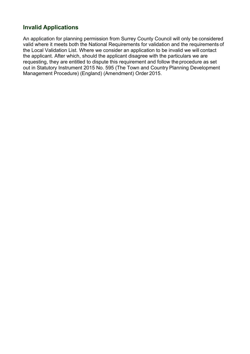# **Invalid Applications**

An application for planning permission from Surrey County Council will only be considered valid where it meets both the National Requirements for validation and the requirements of the Local Validation List. Where we consider an application to be invalid we will contact the applicant. After which, should the applicant disagree with the particulars we are requesting, they are entitled to dispute this requirement and follow the procedure as set out in Statutory Instrument 2015 No. 595 (The Town and Country Planning Development Management Procedure) (England) (Amendment) Order 2015.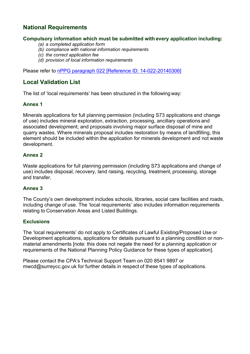# **National Requirements**

## **Compulsory information which must be submitted with every application including:**

- *(a) a completed application form*
- *(b) compliance with national information requirements*
- *(c) the correct application fee*
- *(d) provision of local information requirements*

Please refer to nPPG paragraph 022 [\[Reference ID: 14-022-20140306\]](https://www.gov.uk/guidance/making-an-application#Validation-requirements-for-planning-permission)

# **Local Validation List**

The list of 'local requirements' has been structured in the following way:

#### **Annex 1**

Minerals applications for full planning permission (including S73 applications and change of use) includes mineral exploration, extraction, processing, ancillary operations and associated development; and proposals involving major surface disposal of mine and quarry wastes. Where minerals proposal includes restoration by means of landfilling, this element should be included within the application for minerals development and not waste development.

#### **Annex 2**

Waste applications for full planning permission (including S73 applications and change of use) includes disposal, recovery, land raising, recycling, treatment, processing, storage and transfer.

## **Annex 3**

The County's own development includes schools, libraries, social care facilities and roads, including change of use. The 'local requirements' also includes information requirements relating to Conservation Areas and Listed Buildings.

#### **Exclusions**

The 'local requirements' do not apply to Certificates of Lawful Existing/Proposed Use or Development applications, applications for details pursuant to a planning condition or nonmaterial amendments [note: this does not negate the need for a planning application or requirements of the National Planning Policy Guidance for these types of application].

Please contact the CPA's Technical Support Team on 020 8541 9897 or [mwcd@surreycc.gov.uk](mailto:mwcd@surreycc.gov.uk) for further details in respect of these types of applications.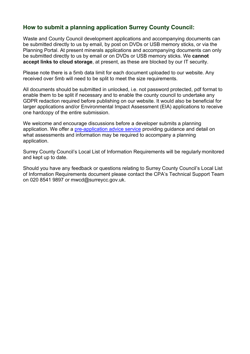# **How to submit a planning application Surrey County Council:**

Waste and County Council development applications and accompanying documents can be submitted directly to us by email, by post on DVDs or USB memory sticks, or via the Planning Portal. At present minerals applications and accompanying documents can only be submitted directly to us by email or on DVDs or USB memory sticks. We **cannot accept links to cloud storage**, at present, as these are blocked by our IT security.

Please note there is a 5mb data limit for each document uploaded to our website. Any received over 5mb will need to be split to meet the size requirements.

All documents should be submitted in unlocked, i.e. not password protected, pdf format to enable them to be split if necessary and to enable the county council to undertake any GDPR redaction required before publishing on our website. It would also be beneficial for larger applications and/or Environmental Impact Assessment (EIA) applications to receive one hardcopy of the entire submission.

We welcome and encourage discussions before a developer submits a planning application. We offer a [pre-application advice service](https://www.surreycc.gov.uk/land-planning-and-development/planning/applications-register/process/new-application/pre-discussion) providing guidance and detail on what assessments and information may be required to accompany a planning application.

Surrey County Council's Local List of Information Requirements will be regularly monitored and kept up to date.

Should you have any feedback or questions relating to Surrey County Council's Local List of Information Requirements document please contact the CPA's Technical Support Team on 020 8541 9897 or [mwcd@surreycc.gov.uk.](mailto:mwcd@surreycc.gov.uk)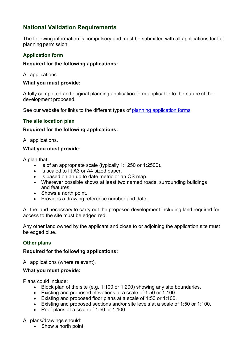# **National Validation Requirements**

The following information is compulsory and must be submitted with all applications for full planning permission.

# **Application form**

## **Required for the following applications:**

All applications.

#### **What you must provide:**

A fully completed and original planning application form applicable to the nature of the development proposed.

See our website for links to the different types of [planning application forms](https://www.surreycc.gov.uk/environment-housing-and-planning/planning/planning-applications-register/the-planning-process/making-a-planning-application/planning-application-forms)

#### **The site location plan**

#### **Required for the following applications:**

All applications.

#### **What you must provide:**

A plan that:

- Is of an appropriate scale (typically 1:1250 or 1:2500).
- Is scaled to fit A3 or A4 sized paper.
- Is based on an up to date metric or an OS map.
- Wherever possible shows at least two named roads, surrounding buildings and features.
- Shows a north point.
- Provides a drawing reference number and date.

All the land necessary to carry out the proposed development including land required for access to the site must be edged red.

Any other land owned by the applicant and close to or adjoining the application site must be edged blue.

#### **Other plans**

#### **Required for the following applications:**

All applications (where relevant).

#### **What you must provide:**

Plans could include:

- Block plan of the site (e.g. 1:100 or 1:200) showing any site boundaries.
- Existing and proposed elevations at a scale of 1:50 or 1:100.
- Existing and proposed floor plans at a scale of 1:50 or 1:100.
- Existing and proposed sections and/or site levels at a scale of 1:50 or 1:100.
- Roof plans at a scale of 1:50 or 1:100.

All plans/drawings should:

• Show a north point.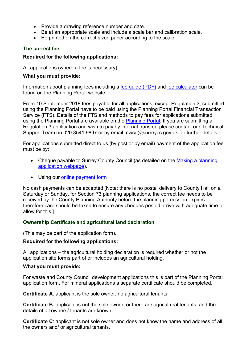- Provide a drawing reference number and date.
- Be at an appropriate scale and include a scale bar and calibration scale.
- Be printed on the correct sized paper according to the scale.

## **The correct fee**

#### **Required for the following applications:**

All applications (where a fee is necessary).

#### **What you must provide:**

Information about planning fees including a [fee guide \(PDF\)](http://ecab.planningportal.co.uk/uploads/english_application_fees.pdf) and [fee calculator](https://1app.planningportal.co.uk/FeeCalculator/Standalone) can be found on the Planning Portal website.

From 10 September 2018 fees payable for all applications, except Regulation 3, submitted using the Planning Portal have to be paid using the Planning Portal Financial Transaction Service (FTS). Details of the FTS and methods to pay fees for applications submitted using the Planning Portal are available on the [Planning Portal.](https://www.planningportal.co.uk/info/200126/applications/59/how_to_apply/7) If you are submitting a Regulation 3 application and wish to pay by internal transfer, please contact our Technical Support Team on 020 8541 9897 or by email mwcd@surreycc.gov.uk for further details.

For applications submitted direct to us (by post or by email) payment of the application fee must be by:

- Cheque payable to Surrey County Council (as detailed on the Making a planning [application webpage\)](https://www.surreycc.gov.uk/land-planning-and-development/planning/applications-register/process/new-application/pre-discussion).
- Using our [online payment form](https://customer.surreycc.gov.uk/make-a-payment-to-scc-planning)

No cash payments can be accepted [Note: there is no postal delivery to County Hall on a Saturday or Sunday, for Section 73 planning applications, the correct fee needs to be received by the County Planning Authority before the planning permission expires therefore care should be taken to ensure any cheques posted arrive with adequate time to allow for this.]

## **Ownership Certificate and agricultural land declaration**

(This may be part of the application form).

## **Required for the following applications:**

All applications – the agricultural holding declaration is required whether or not the application site forms part of or includes an agricultural holding.

#### **What you must provide:**

For waste and County Council development applications this is part of the Planning Portal application form. For mineral applications a separate certificate should be completed.

**Certificate A**: applicant is the sole owner, no agricultural tenants.

**Certificate B**: applicant is not the sole owner, or there are agricultural tenants, and the details of all owners/ tenants are known.

**Certificate C**: applicant is not sole owner and does not know the name and address of all the owners and/ or agricultural tenants.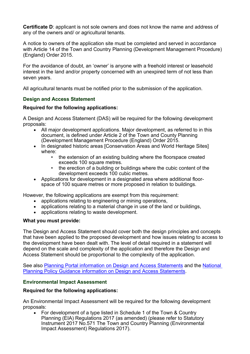**Certificate D**: applicant is not sole owners and does not know the name and address of any of the owners and/ or agricultural tenants.

A notice to owners of the application site must be completed and served in accordance with Article 14 of the Town and Country Planning (Development Management Procedure) (England) Order 2015.

For the avoidance of doubt, an 'owner' is anyone with a freehold interest or leasehold interest in the land and/or property concerned with an unexpired term of not less than seven years.

All agricultural tenants must be notified prior to the submission of the application.

## **Design and Access Statement**

#### **Required for the following applications:**

A Design and Access Statement (DAS) will be required for the following development proposals:

- All major development applications. Major development, as referred to in this document, is defined under Article 2 of the Town and County Planning (Development Management Procedure (England) Order 2015.
- In designated historic areas [Conservation Areas and World Heritage Sites] where:
	- the extension of an existing building where the floorspace created exceeds 100 square metres.
	- the erection of a building or buildings where the cubic content of the development exceeds 100 cubic metres.
- Applications for development in a designated area where additional floorspace of 100 square metres or more proposed in relation to buildings.

However, the following applications are exempt from this requirement:

- applications relating to engineering or mining operations,
- applications relating to a material change in use of the land or buildings,
- applications relating to waste development.

#### **What you must provide:**

The Design and Access Statement should cover both the design principles and concepts that have been applied to the proposed development and how issues relating to access to the development have been dealt with. The level of detail required in a statement will depend on the scale and complexity of the application and therefore the Design and Access Statement should be proportional to the complexity of the application.

See also [Planning Portal information on Design and Access Statements](https://www.planningportal.co.uk/faqs/faq/51/what_is_a_design_and_access_statement) and the [National](https://www.gov.uk/guidance/making-an-application#Design-and-Access-Statement)  [Planning Policy Guidance information on Design and Access Statements.](https://www.gov.uk/guidance/making-an-application#Design-and-Access-Statement)

## **Environmental Impact Assessment**

#### **Required for the following applications:**

An Environmental Impact Assessment will be required for the following development proposals:

• For development of a type listed in Schedule 1 of the Town & Country Planning (EIA) Regulations 2017 (as amended) (please refer to Statutory Instrument 2017 No.571 The Town and Country Planning (Environmental Impact Assessment) Regulations 2017).